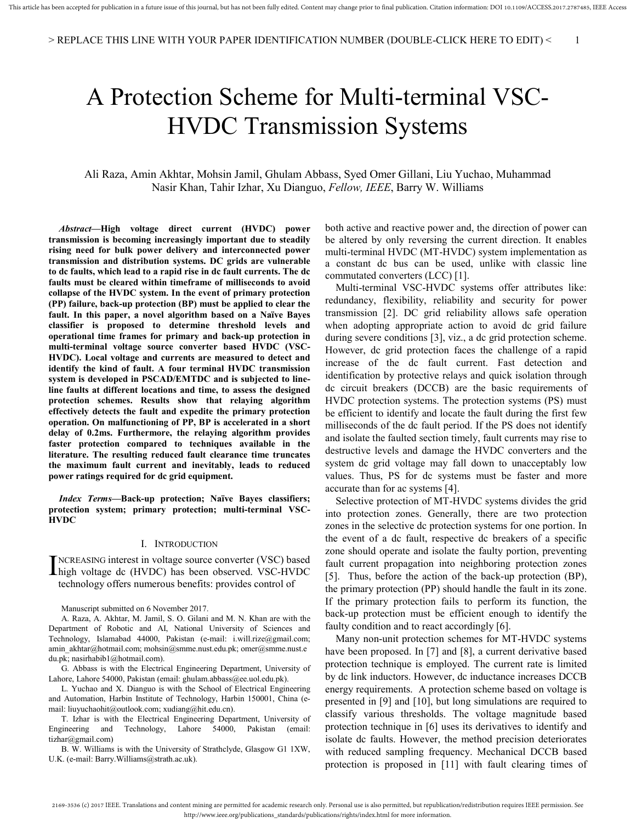# A Protection Scheme for Multi-terminal VSC-HVDC Transmission Systems

Ali Raza, Amin Akhtar, Mohsin Jamil, Ghulam Abbass, Syed Omer Gillani, Liu Yuchao, Muhammad Nasir Khan, Tahir Izhar, Xu Dianguo, *Fellow, IEEE*, Barry W. Williams

*Abstract***—High voltage direct current (HVDC) power transmission is becoming increasingly important due to steadily rising need for bulk power delivery and interconnected power transmission and distribution systems. DC grids are vulnerable to dc faults, which lead to a rapid rise in dc fault currents. The dc faults must be cleared within timeframe of milliseconds to avoid collapse of the HVDC system. In the event of primary protection (PP) failure, back-up protection (BP) must be applied to clear the fault. In this paper, a novel algorithm based on a Naïve Bayes classifier is proposed to determine threshold levels and operational time frames for primary and back-up protection in multi-terminal voltage source converter based HVDC (VSC-HVDC). Local voltage and currents are measured to detect and identify the kind of fault. A four terminal HVDC transmission system is developed in PSCAD/EMTDC and is subjected to lineline faults at different locations and time, to assess the designed protection schemes. Results show that relaying algorithm effectively detects the fault and expedite the primary protection operation. On malfunctioning of PP, BP is accelerated in a short delay of 0.2ms. Furthermore, the relaying algorithm provides faster protection compared to techniques available in the literature. The resulting reduced fault clearance time truncates the maximum fault current and inevitably, leads to reduced power ratings required for dc grid equipment.** 

*Index Terms***—Back-up protection; Naïve Bayes classifiers; protection system; primary protection; multi-terminal VSC-HVDC** 

#### I. INTRODUCTION

NCREASING interest in voltage source converter (VSC) based INCREASING interest in voltage source converter (VSC) based<br>high voltage dc (HVDC) has been observed. VSC-HVDC technology offers numerous benefits: provides control of

Manuscript submitted on 6 November 2017.

A. Raza, A. Akhtar, M. Jamil, S. O. Gilani and M. N. Khan are with the Department of Robotic and AI, National University of Sciences and Technology, Islamabad 44000, Pakistan (e-mail: i.will.rize@gmail.com; amin\_akhtar@hotmail.com; mohsin@smme.nust.edu.pk; omer@smme.nust.e du.pk; nasirhabib1@hotmail.com).

G. Abbass is with the Electrical Engineering Department, University of Lahore, Lahore 54000, Pakistan (email: ghulam.abbass@ee.uol.edu.pk).

L. Yuchao and X. Dianguo is with the School of Electrical Engineering and Automation, Harbin Institute of Technology, Harbin 150001, China (email: liuyuchaohit@outlook.com; xudiang@hit.edu.cn).

T. Izhar is with the Electrical Engineering Department, University of Engineering and Technology, Lahore 54000, Pakistan (email: tizhar@gmail.com)

B. W. Williams is with the University of Strathclyde, Glasgow G1 1XW, U.K. (e-mail: Barry.Williams@strath.ac.uk).

both active and reactive power and, the direction of power can be altered by only reversing the current direction. It enables multi-terminal HVDC (MT-HVDC) system implementation as a constant dc bus can be used, unlike with classic line commutated converters (LCC) [1].

Multi-terminal VSC-HVDC systems offer attributes like: redundancy, flexibility, reliability and security for power transmission [2]. DC grid reliability allows safe operation when adopting appropriate action to avoid dc grid failure during severe conditions [3], viz., a dc grid protection scheme. However, dc grid protection faces the challenge of a rapid increase of the dc fault current. Fast detection and identification by protective relays and quick isolation through dc circuit breakers (DCCB) are the basic requirements of HVDC protection systems. The protection systems (PS) must be efficient to identify and locate the fault during the first few milliseconds of the dc fault period. If the PS does not identify and isolate the faulted section timely, fault currents may rise to destructive levels and damage the HVDC converters and the system dc grid voltage may fall down to unacceptably low values. Thus, PS for dc systems must be faster and more accurate than for ac systems [4].

Selective protection of MT-HVDC systems divides the grid into protection zones. Generally, there are two protection zones in the selective dc protection systems for one portion. In the event of a dc fault, respective dc breakers of a specific zone should operate and isolate the faulty portion, preventing fault current propagation into neighboring protection zones [5]. Thus, before the action of the back-up protection (BP), the primary protection (PP) should handle the fault in its zone. If the primary protection fails to perform its function, the back-up protection must be efficient enough to identify the faulty condition and to react accordingly [6].

Many non-unit protection schemes for MT-HVDC systems have been proposed. In [7] and [8], a current derivative based protection technique is employed. The current rate is limited by dc link inductors. However, dc inductance increases DCCB energy requirements. A protection scheme based on voltage is presented in [9] and [10], but long simulations are required to classify various thresholds. The voltage magnitude based protection technique in [6] uses its derivatives to identify and isolate dc faults. However, the method precision deteriorates with reduced sampling frequency. Mechanical DCCB based protection is proposed in [11] with fault clearing times of

<sup>2169-3536 (</sup>c) 2017 IEEE. Translations and content mining are permitted for academic research only. Personal use is also permitted, but republication/redistribution requires IEEE permission. See http://www.ieee.org/publications\_standards/publications/rights/index.html for more information.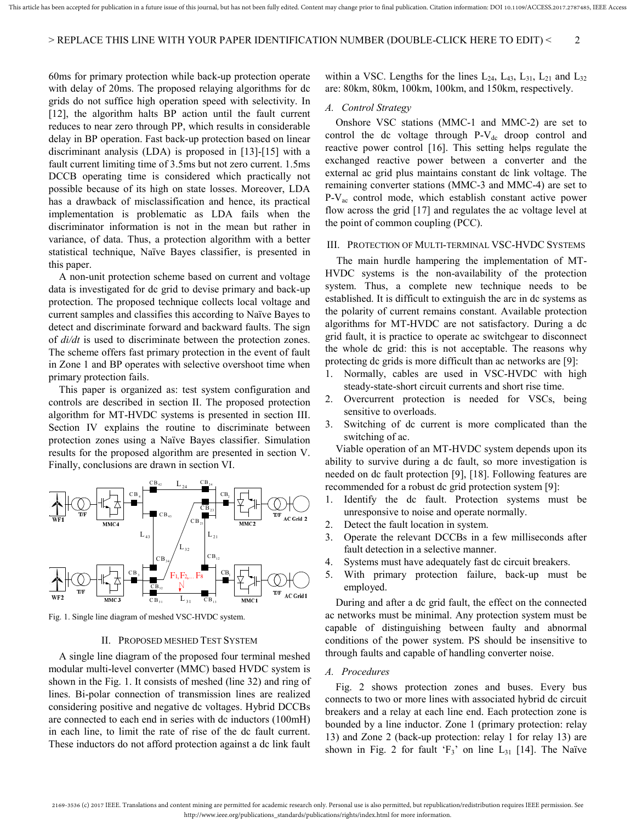60ms for primary protection while back-up protection operate with delay of 20ms. The proposed relaying algorithms for dc grids do not suffice high operation speed with selectivity. In [12], the algorithm halts BP action until the fault current reduces to near zero through PP, which results in considerable delay in BP operation. Fast back-up protection based on linear discriminant analysis (LDA) is proposed in [13]-[15] with a fault current limiting time of 3.5ms but not zero current. 1.5ms DCCB operating time is considered which practically not possible because of its high on state losses. Moreover, LDA has a drawback of misclassification and hence, its practical implementation is problematic as LDA fails when the discriminator information is not in the mean but rather in variance, of data. Thus, a protection algorithm with a better statistical technique, Naïve Bayes classifier, is presented in this paper.

A non-unit protection scheme based on current and voltage data is investigated for dc grid to devise primary and back-up protection. The proposed technique collects local voltage and current samples and classifies this according to Naïve Bayes to detect and discriminate forward and backward faults. The sign of *di/dt* is used to discriminate between the protection zones. The scheme offers fast primary protection in the event of fault in Zone 1 and BP operates with selective overshoot time when primary protection fails.

This paper is organized as: test system configuration and controls are described in section II. The proposed protection algorithm for MT-HVDC systems is presented in section III. Section IV explains the routine to discriminate between protection zones using a Naïve Bayes classifier. Simulation results for the proposed algorithm are presented in section V. Finally, conclusions are drawn in section VI.



Fig. 1. Single line diagram of meshed VSC-HVDC system.

## II. PROPOSED MESHED TEST SYSTEM

A single line diagram of the proposed four terminal meshed modular multi-level converter (MMC) based HVDC system is shown in the Fig. 1. It consists of meshed (line 32) and ring of lines. Bi-polar connection of transmission lines are realized considering positive and negative dc voltages. Hybrid DCCBs are connected to each end in series with dc inductors (100mH) in each line, to limit the rate of rise of the dc fault current. These inductors do not afford protection against a dc link fault

within a VSC. Lengths for the lines  $L_{24}$ ,  $L_{43}$ ,  $L_{31}$ ,  $L_{21}$  and  $L_{32}$ are: 80km, 80km, 100km, 100km, and 150km, respectively.

## *A. Control Strategy*

Onshore VSC stations (MMC-1 and MMC-2) are set to control the dc voltage through  $P-V_{dc}$  droop control and reactive power control [16]. This setting helps regulate the exchanged reactive power between a converter and the external ac grid plus maintains constant dc link voltage. The remaining converter stations (MMC-3 and MMC-4) are set to  $P-V<sub>ac</sub>$  control mode, which establish constant active power flow across the grid [17] and regulates the ac voltage level at the point of common coupling (PCC).

#### III. PROTECTION OF MULTI-TERMINAL VSC-HVDC SYSTEMS

The main hurdle hampering the implementation of MT-HVDC systems is the non-availability of the protection system. Thus, a complete new technique needs to be established. It is difficult to extinguish the arc in dc systems as the polarity of current remains constant. Available protection algorithms for MT-HVDC are not satisfactory. During a dc grid fault, it is practice to operate ac switchgear to disconnect the whole dc grid: this is not acceptable. The reasons why protecting dc grids is more difficult than ac networks are [9]:

- 1. Normally, cables are used in VSC-HVDC with high steady-state-short circuit currents and short rise time.
- 2. Overcurrent protection is needed for VSCs, being sensitive to overloads.
- 3. Switching of dc current is more complicated than the switching of ac.

Viable operation of an MT-HVDC system depends upon its ability to survive during a dc fault, so more investigation is needed on dc fault protection [9], [18]. Following features are recommended for a robust dc grid protection system [9]:

- 1. Identify the dc fault. Protection systems must be unresponsive to noise and operate normally.
- 2. Detect the fault location in system.
- 3. Operate the relevant DCCBs in a few milliseconds after fault detection in a selective manner.
- 4. Systems must have adequately fast dc circuit breakers.
- 5. With primary protection failure, back-up must be employed.

During and after a dc grid fault, the effect on the connected ac networks must be minimal. Any protection system must be capable of distinguishing between faulty and abnormal conditions of the power system. PS should be insensitive to through faults and capable of handling converter noise.

#### *A. Procedures*

Fig. 2 shows protection zones and buses. Every bus connects to two or more lines with associated hybrid dc circuit breakers and a relay at each line end. Each protection zone is bounded by a line inductor. Zone 1 (primary protection: relay 13) and Zone 2 (back-up protection: relay 1 for relay 13) are shown in Fig. 2 for fault 'F<sub>3</sub>' on line  $L_{31}$  [14]. The Naïve

<sup>2169-3536 (</sup>c) 2017 IEEE. Translations and content mining are permitted for academic research only. Personal use is also permitted, but republication/redistribution requires IEEE permission. See http://www.ieee.org/publications\_standards/publications/rights/index.html for more information.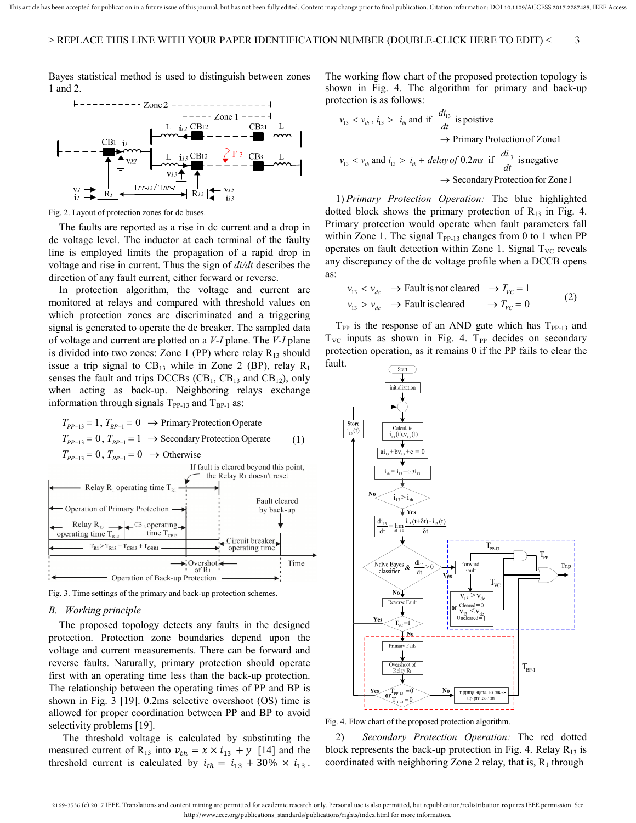Bayes statistical method is used to distinguish between zones 1 and 2.



Fig. 2. Layout of protection zones for dc buses.

The faults are reported as a rise in dc current and a drop in dc voltage level. The inductor at each terminal of the faulty line is employed limits the propagation of a rapid drop in voltage and rise in current. Thus the sign of *di/dt* describes the direction of any fault current, either forward or reverse.

In protection algorithm, the voltage and current are monitored at relays and compared with threshold values on which protection zones are discriminated and a triggering signal is generated to operate the dc breaker. The sampled data of voltage and current are plotted on a *V-I* plane. The *V-I* plane is divided into two zones: Zone 1 (PP) where relay  $R_{13}$  should issue a trip signal to  $CB_{13}$  while in Zone 2 (BP), relay  $R_1$ senses the fault and trips DCCBs  $(CB<sub>1</sub>, CB<sub>13</sub>$  and  $CB<sub>12</sub>$ ), only when acting as back-up. Neighboring relays exchange information through signals  $T_{PP-13}$  and  $T_{BP-1}$  as:



Fig. 3. Time settings of the primary and back-up protection schemes.

# *B. Working principle*

The proposed topology detects any faults in the designed protection. Protection zone boundaries depend upon the voltage and current measurements. There can be forward and reverse faults. Naturally, primary protection should operate first with an operating time less than the back-up protection. The relationship between the operating times of PP and BP is shown in Fig. 3 [19]. 0.2ms selective overshoot (OS) time is allowed for proper coordination between PP and BP to avoid selectivity problems [19].

The threshold voltage is calculated by substituting the measured current of R<sub>13</sub> into  $v_{th} = x \times i_{13} + y$  [14] and the threshold current is calculated by  $i_{th} = i_{13} + 30\% \times i_{13}$ .

The working flow chart of the proposed protection topology is shown in Fig. 4. The algorithm for primary and back-up protection is as follows:

$$
v_{13} < v_{th}
$$
,  $i_{13} > i_{th}$  and if  $\frac{di_{13}}{dt}$  is positive  
\n $\rightarrow$  Primary Protection of Zone1  
\n $v_{13} < v_{th}$  and  $i_{13} > i_{th} + delay of 0.2ms$  if  $\frac{di_{13}}{dt}$  is negative  
\n $\rightarrow$  Secondary Protection for Zone1

1) *Primary Protection Operation:* The blue highlighted dotted block shows the primary protection of  $R_{13}$  in Fig. 4. Primary protection would operate when fault parameters fall within Zone 1. The signal  $T_{PP-13}$  changes from 0 to 1 when PP operates on fault detection within Zone 1. Signal  $T_{\rm VC}$  reveals any discrepancy of the dc voltage profile when a DCCB opens as:

$$
v_{13} < v_{dc} \rightarrow \text{Fault is not cleared} \rightarrow T_{VC} = 1
$$
  

$$
v_{13} > v_{dc} \rightarrow \text{Fault is cleared} \rightarrow T_{VC} = 0
$$
 (2)

 $T_{PP}$  is the response of an AND gate which has  $T_{PP-13}$  and  $T_{\text{VC}}$  inputs as shown in Fig. 4.  $T_{\text{PP}}$  decides on secondary protection operation, as it remains 0 if the PP fails to clear the fault.



Fig. 4. Flow chart of the proposed protection algorithm.

2) *Secondary Protection Operation:* The red dotted block represents the back-up protection in Fig. 4. Relay  $R_{13}$  is coordinated with neighboring Zone 2 relay, that is,  $R_1$  through

<sup>2169-3536 (</sup>c) 2017 IEEE. Translations and content mining are permitted for academic research only. Personal use is also permitted, but republication/redistribution requires IEEE permission. See http://www.ieee.org/publications\_standards/publications/rights/index.html for more information.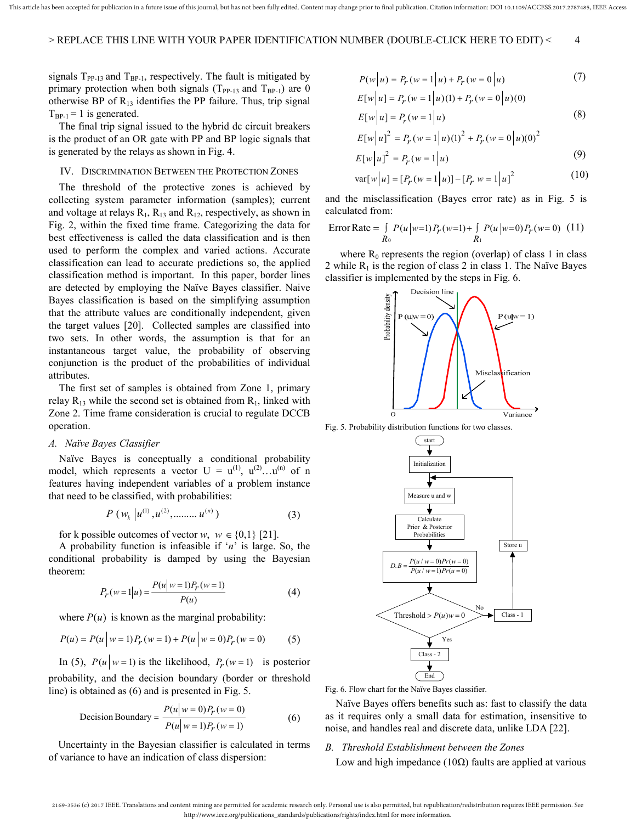signals  $T_{PP-13}$  and  $T_{BP-1}$ , respectively. The fault is mitigated by primary protection when both signals ( $T_{PP-13}$  and  $T_{BP-1}$ ) are 0 otherwise BP of  $R_{13}$  identifies the PP failure. Thus, trip signal  $T_{BP-1} = 1$  is generated.

The final trip signal issued to the hybrid dc circuit breakers is the product of an OR gate with PP and BP logic signals that is generated by the relays as shown in Fig. 4.

# IV. DISCRIMINATION BETWEEN THE PROTECTION ZONES

The threshold of the protective zones is achieved by collecting system parameter information (samples); current and voltage at relays  $R_1$ ,  $R_{13}$  and  $R_{12}$ , respectively, as shown in Fig. 2, within the fixed time frame. Categorizing the data for best effectiveness is called the data classification and is then used to perform the complex and varied actions. Accurate classification can lead to accurate predictions so, the applied classification method is important. In this paper, border lines are detected by employing the Naïve Bayes classifier. Naive Bayes classification is based on the simplifying assumption that the attribute values are conditionally independent, given the target values [20]. Collected samples are classified into two sets. In other words, the assumption is that for an instantaneous target value, the probability of observing conjunction is the product of the probabilities of individual attributes.

The first set of samples is obtained from Zone 1, primary relay  $R_{13}$  while the second set is obtained from  $R_1$ , linked with Zone 2. Time frame consideration is crucial to regulate DCCB operation.

### *A. Naïve Bayes Classifier*

Naïve Bayes is conceptually a conditional probability model, which represents a vector  $U = u^{(1)}$ ,  $u^{(2)}$ ... $u^{(n)}$  of n features having independent variables of a problem instance that need to be classified, with probabilities:

$$
P(w_k | u^{(1)}, u^{(2)}, \dots, u^{(n)}) \tag{3}
$$

for k possible outcomes of vector *w*,  $w \in \{0,1\}$  [21].

A probability function is infeasible if '*n*' is large. So, the conditional probability is damped by using the Bayesian theorem:

$$
P_r(w=1|u) = \frac{P(u|w=1)P_r(w=1)}{P(u)}
$$
(4)

where  $P(u)$  is known as the marginal probability:

$$
P(u) = P(u \mid w = 1)P_r(w = 1) + P(u \mid w = 0)P_r(w = 0)
$$
 (5)

In (5),  $P(u \mid w = 1)$  is the likelihood,  $P_r(w = 1)$  is posterior probability, and the decision boundary (border or threshold line) is obtained as (6) and is presented in Fig. 5.

Decision Boundary = 
$$
\frac{P(u|w=0)P_r(w=0)}{P(u|w=1)P_r(w=1)}
$$
 (6)

Uncertainty in the Bayesian classifier is calculated in terms of variance to have an indication of class dispersion:

$$
P(w | u) = Pr (w = 1 | u) + Pr (w = 0 | u)
$$
 (7)

$$
E[w|u] = P_r(w = 1|u)(1) + P_r(w = 0|u)(0)
$$

$$
E[w|u] = P_r(w=1|u)
$$
\n(8)

$$
E[w|u]^2 = P_r(w=1|u)(1)^2 + P_r(w=0|u)(0)^2
$$

$$
E[w|u]^2 = P_r(w=1|u)
$$
 (9)

$$
var[w|u] = [P_r(w=1|u)] - [P_r w = 1|u]^2
$$
 (10)

and the misclassification (Bayes error rate) as in Fig. 5 is calculated from:

Error Rate = 
$$
\int_{R_0} P(u|w=1) P_r(w=1) + \int_{R_1} P(u|w=0) P_r(w=0)
$$
 (11)

where  $R_0$  represents the region (overlap) of class 1 in class 2 while  $R_1$  is the region of class 2 in class 1. The Naïve Bayes classifier is implemented by the steps in Fig. 6.



Fig. 5. Probability distribution functions for two classes.



Fig. 6. Flow chart for the Naïve Bayes classifier.

Naïve Bayes offers benefits such as: fast to classify the data as it requires only a small data for estimation, insensitive to noise, and handles real and discrete data, unlike LDA [22].

# *B. Threshold Establishment between the Zones*

Low and high impedance ( $10Ω$ ) faults are applied at various

<sup>2169-3536 (</sup>c) 2017 IEEE. Translations and content mining are permitted for academic research only. Personal use is also permitted, but republication/redistribution requires IEEE permission. See http://www.ieee.org/publications\_standards/publications/rights/index.html for more information.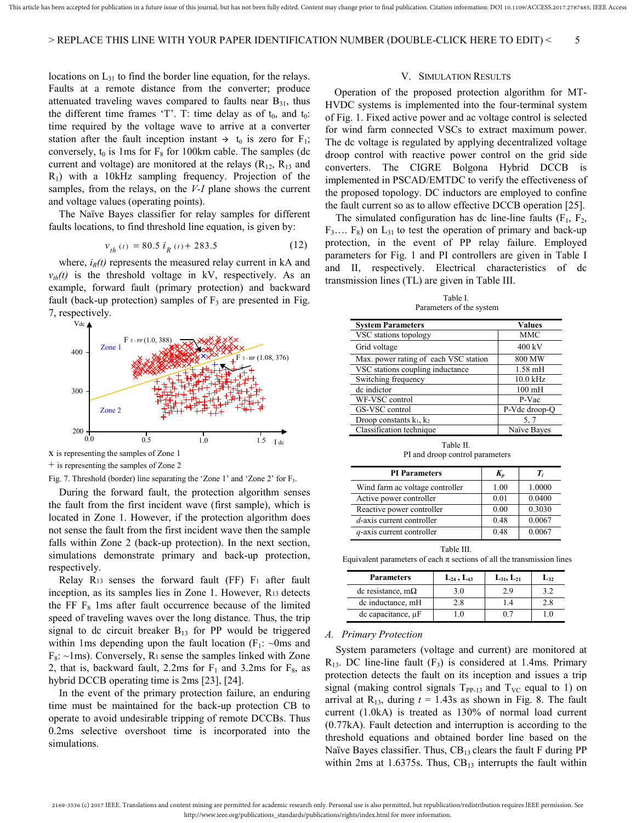locations on  $L_{31}$  to find the border line equation, for the relays. Faults at a remote distance from the converter; produce attenuated traveling waves compared to faults near  $B_{31}$ , thus the different time frames 'T'. T: time delay as of  $t_0$ , and  $t_0$ : time required by the voltage wave to arrive at a converter station after the fault inception instant  $\rightarrow t_0$  is zero for F<sub>1</sub>; conversely,  $t_0$  is 1ms for  $F_8$  for 100km cable. The samples (dc current and voltage) are monitored at the relays  $(R_{12}, R_{13})$  and  $R_1$ ) with a 10kHz sampling frequency. Projection of the samples, from the relays, on the *V-I* plane shows the current and voltage values (operating points).

The Naïve Bayes classifier for relay samples for different faults locations, to find threshold line equation, is given by:

$$
v_{th}(t) = 80.5 i_R(t) + 283.5
$$
 (12)

where,  $i_R(t)$  represents the measured relay current in kA and  $v<sub>th</sub>(t)$  is the threshold voltage in kV, respectively. As an example, forward fault (primary protection) and backward fault (back-up protection) samples of  $F_3$  are presented in Fig. 7, respectively.



+ is representing the samples of Zone 2

Fig. 7. Threshold (border) line separating the 'Zone 1' and 'Zone 2' for F3.

During the forward fault, the protection algorithm senses the fault from the first incident wave (first sample), which is located in Zone 1. However, if the protection algorithm does not sense the fault from the first incident wave then the sample falls within Zone 2 (back-up protection). In the next section, simulations demonstrate primary and back-up protection, respectively.

Relay  $R_{13}$  senses the forward fault (FF)  $F_1$  after fault inception, as its samples lies in Zone 1. However, R13 detects the FF  $F_8$  1ms after fault occurrence because of the limited speed of traveling waves over the long distance. Thus, the trip signal to dc circuit breaker  $B_{13}$  for PP would be triggered within 1ms depending upon the fault location ( $F_1$ : ~0ms and  $F_8$ : ~1ms). Conversely, R<sub>1</sub> sense the samples linked with Zone 2, that is, backward fault, 2.2ms for  $F_1$  and 3.2ms for  $F_8$ , as hybrid DCCB operating time is 2ms [23], [24].

In the event of the primary protection failure, an enduring time must be maintained for the back-up protection CB to operate to avoid undesirable tripping of remote DCCBs. Thus 0.2ms selective overshoot time is incorporated into the simulations.

#### V. SIMULATION RESULTS

Operation of the proposed protection algorithm for MT-HVDC systems is implemented into the four-terminal system of Fig. 1. Fixed active power and ac voltage control is selected for wind farm connected VSCs to extract maximum power. The dc voltage is regulated by applying decentralized voltage droop control with reactive power control on the grid side converters. The CIGRE Bolgona Hybrid DCCB is implemented in PSCAD/EMTDC to verify the effectiveness of the proposed topology. DC inductors are employed to confine the fault current so as to allow effective DCCB operation [25].

The simulated configuration has dc line-line faults  $(F_1, F_2,$  $F_3$ ....  $F_8$ ) on  $L_{31}$  to test the operation of primary and back-up protection, in the event of PP relay failure. Employed parameters for Fig. 1 and PI controllers are given in Table I and II, respectively. Electrical characteristics of dc transmission lines (TL) are given in Table III.

| Table I.                 |
|--------------------------|
| Parameters of the system |

| <b>System Parameters</b>              | <b>Values</b>     |
|---------------------------------------|-------------------|
| VSC stations topology                 | MMC               |
| Grid voltage                          | 400 kV            |
| Max. power rating of each VSC station | 800 MW            |
| VSC stations coupling inductance      | $1.58 \text{ mH}$ |
| Switching frequency                   | $10.0$ kHz        |
| de indictor                           | $100$ mH          |
| WF-VSC control                        | P-Vac             |
| GS-VSC control                        | P-Vdc droop-O     |
| Droop constants $k_1, k_2$            | 5.7               |
| Classification technique              | Naïve Bayes       |

Table II. PI and droop control parameters

| <b>PI</b> Parameters            | $K_p$ | $T_i$  |
|---------------------------------|-------|--------|
| Wind farm ac voltage controller | 1.00  | 1.0000 |
| Active power controller         | 0.01  | 0.0400 |
| Reactive power controller       | 0.00  | 0.3030 |
| $d$ -axis current controller    | 0.48  | 0.0067 |
| $q$ -axis current controller    | 0.48  | 0.0067 |

Table III. Equivalent parameters of each  $\pi$  sections of all the transmission lines

| <b>Parameters</b>         | $L_{24}$ , $L_{43}$ | $L_{31}$ , $L_{21}$ | $L_{32}$ |
|---------------------------|---------------------|---------------------|----------|
| de resistance, m $\Omega$ | 3.0                 | 2.9                 | 32       |
| dc inductance, mH         | 2.8                 |                     |          |
| $dc$ capacitance, $\mu$ F |                     |                     |          |

#### *A. Primary Protection*

System parameters (voltage and current) are monitored at  $R_{13}$ . DC line-line fault (F<sub>3</sub>) is considered at 1.4ms. Primary protection detects the fault on its inception and issues a trip signal (making control signals  $T_{PP-13}$  and  $T_{VC}$  equal to 1) on arrival at  $R_{13}$ , during  $t = 1.43$ s as shown in Fig. 8. The fault current (1.0kA) is treated as 130% of normal load current (0.77kA). Fault detection and interruption is according to the threshold equations and obtained border line based on the Naïve Bayes classifier. Thus,  $CB_{13}$  clears the fault F during PP within 2ms at 1.6375s. Thus,  $CB_{13}$  interrupts the fault within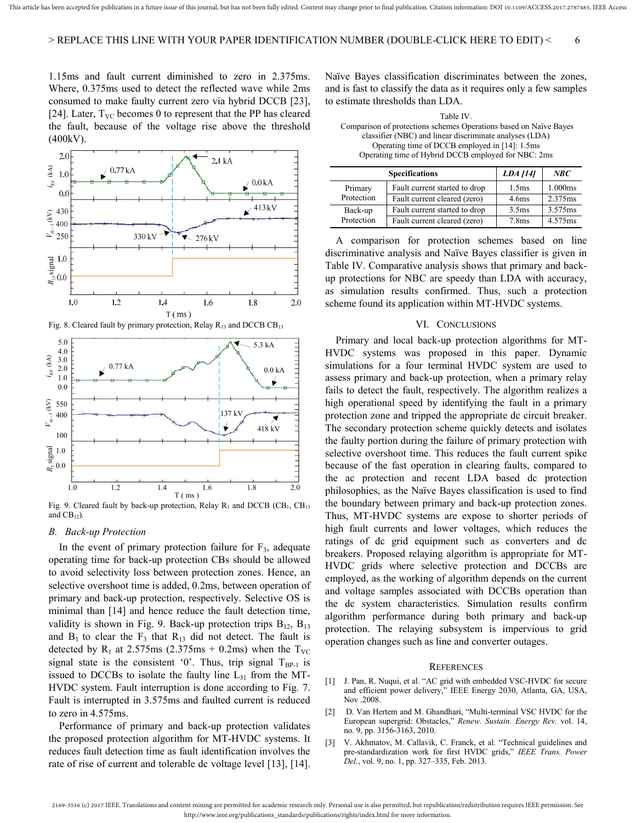1.15ms and fault current diminished to zero in 2.375ms. Where, 0.375ms used to detect the reflected wave while 2ms consumed to make faulty current zero via hybrid DCCB [23], [24]. Later,  $T_{\text{VC}}$  becomes 0 to represent that the PP has cleared the fault, because of the voltage rise above the threshold (400kV).



Fig. 8. Cleared fault by primary protection, Relay  $R_{13}$  and DCCB  $CB_{13}$ 



Fig. 9. Cleared fault by back-up protection, Relay  $R_1$  and DCCB (CB<sub>1</sub>, CB<sub>13</sub> and  $CB_{12}$ ).

#### *B. Back-up Protection*

In the event of primary protection failure for  $F_3$ , adequate operating time for back-up protection CBs should be allowed to avoid selectivity loss between protection zones. Hence, an selective overshoot time is added, 0.2ms, between operation of primary and back-up protection, respectively. Selective OS is minimal than [14] and hence reduce the fault detection time, validity is shown in Fig. 9. Back-up protection trips  $B_{12}$ ,  $B_{13}$ and  $B_1$  to clear the  $F_3$  that  $R_{13}$  did not detect. The fault is detected by  $R_1$  at 2.575ms (2.375ms + 0.2ms) when the T<sub>VC</sub> signal state is the consistent '0'. Thus, trip signal  $T_{BP-1}$  is issued to DCCBs to isolate the faulty line  $L_{31}$  from the MT-HVDC system. Fault interruption is done according to Fig. 7. Fault is interrupted in 3.575ms and faulted current is reduced to zero in 4.575ms.

Performance of primary and back-up protection validates the proposed protection algorithm for MT-HVDC systems. It reduces fault detection time as fault identification involves the rate of rise of current and tolerable dc voltage level [13], [14]. Naïve Bayes classification discriminates between the zones, and is fast to classify the data as it requires only a few samples to estimate thresholds than LDA.

| Table IV.                                                         |
|-------------------------------------------------------------------|
| Comparison of protections schemes Operations based on Naïve Bayes |
| classifier (NBC) and linear discriminate analyses (LDA)           |
| Operating time of DCCB employed in [14]: 1.5ms                    |
| Operating time of Hybrid DCCB employed for NBC: 2ms               |
|                                                                   |

|            | <b>Specifications</b>         | <b>LDA</b> [14]   | NBC     |
|------------|-------------------------------|-------------------|---------|
| Primary    | Fault current started to drop | 1.5 <sub>ms</sub> | 1.000ms |
| Protection | Fault current cleared (zero)  | 4.6 <sub>ms</sub> | 2.375ms |
| Back-up    | Fault current started to drop | 3.5 <sub>ms</sub> | 3.575ms |
| Protection | Fault current cleared (zero)  | 7.8 <sub>ms</sub> | 4.575ms |

A comparison for protection schemes based on line discriminative analysis and Naïve Bayes classifier is given in Table IV. Comparative analysis shows that primary and backup protections for NBC are speedy than LDA with accuracy, as simulation results confirmed. Thus, such a protection scheme found its application within MT-HVDC systems.

## VI. CONCLUSIONS

Primary and local back-up protection algorithms for MT-HVDC systems was proposed in this paper. Dynamic simulations for a four terminal HVDC system are used to assess primary and back-up protection, when a primary relay fails to detect the fault, respectively. The algorithm realizes a high operational speed by identifying the fault in a primary protection zone and tripped the appropriate dc circuit breaker. The secondary protection scheme quickly detects and isolates the faulty portion during the failure of primary protection with selective overshoot time. This reduces the fault current spike because of the fast operation in clearing faults, compared to the ac protection and recent LDA based dc protection philosophies, as the Naïve Bayes classification is used to find the boundary between primary and back-up protection zones. Thus, MT-HVDC systems are expose to shorter periods of high fault currents and lower voltages, which reduces the ratings of dc grid equipment such as converters and dc breakers. Proposed relaying algorithm is appropriate for MT-HVDC grids where selective protection and DCCBs are employed, as the working of algorithm depends on the current and voltage samples associated with DCCBs operation than the dc system characteristics. Simulation results confirm algorithm performance during both primary and back-up protection. The relaying subsystem is impervious to grid operation changes such as line and converter outages.

#### **REFERENCES**

- [1] J. Pan, R. Nuqui, et al. "AC grid with embedded VSC-HVDC for secure and efficient power delivery," IEEE Energy 2030, Atlanta, GA, USA, Nov .2008.
- [2] D. Van Hertem and M. Ghandhari, "Multi-terminal VSC HVDC for the European supergrid: Obstacles," *Renew. Sustain. Energy Rev.* vol. 14, no. 9, pp. 3156-3163, 2010.
- [3] V. Akhmatov, M. Callavik, C. Franck, et al. "Technical guidelines and pre-standardization work for first HVDC grids," *IEEE Trans. Power Del.*, vol. 9, no. 1, pp. 327–335, Feb. 2013.

<sup>2169-3536 (</sup>c) 2017 IEEE. Translations and content mining are permitted for academic research only. Personal use is also permitted, but republication/redistribution requires IEEE permission. See http://www.ieee.org/publications\_standards/publications/rights/index.html for more information.